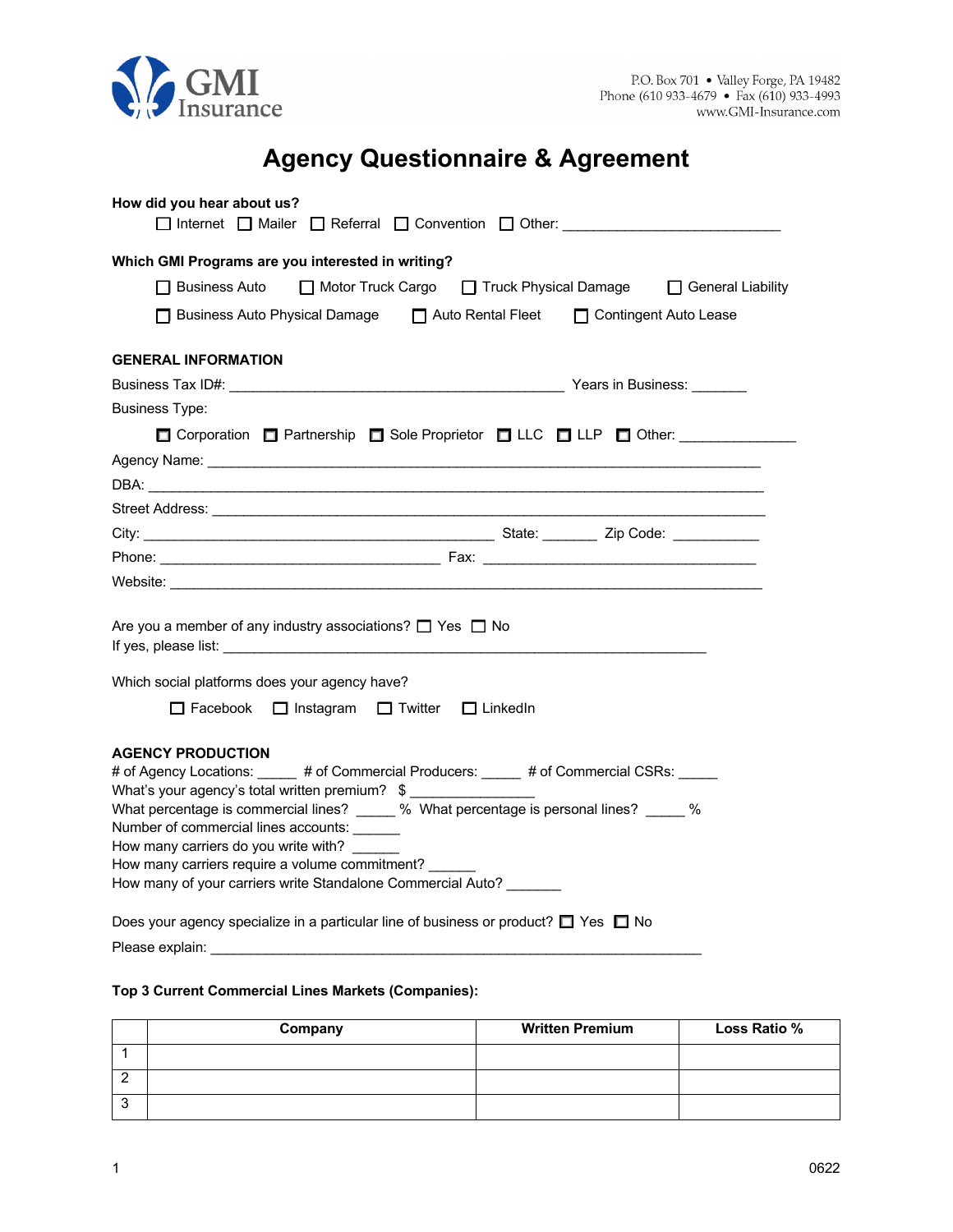

# **Agency Questionnaire & Agreement**

| How did you hear about us?<br>□ Internet □ Mailer □ Referral □ Convention □ Other:                                                                                                                                                                                                                                                                       |  |  |
|----------------------------------------------------------------------------------------------------------------------------------------------------------------------------------------------------------------------------------------------------------------------------------------------------------------------------------------------------------|--|--|
| Which GMI Programs are you interested in writing?                                                                                                                                                                                                                                                                                                        |  |  |
| □ Business Auto                                                                                                                                                                                                                                                                                                                                          |  |  |
| □ Motor Truck Cargo □ Truck Physical Damage □ General Liability                                                                                                                                                                                                                                                                                          |  |  |
| □ Business Auto Physical Damage □ Auto Rental Fleet □ Contingent Auto Lease                                                                                                                                                                                                                                                                              |  |  |
| <b>GENERAL INFORMATION</b>                                                                                                                                                                                                                                                                                                                               |  |  |
|                                                                                                                                                                                                                                                                                                                                                          |  |  |
| <b>Business Type:</b>                                                                                                                                                                                                                                                                                                                                    |  |  |
| □ Corporation □ Partnership □ Sole Proprietor □ LLC □ LLP □ Other:                                                                                                                                                                                                                                                                                       |  |  |
|                                                                                                                                                                                                                                                                                                                                                          |  |  |
|                                                                                                                                                                                                                                                                                                                                                          |  |  |
|                                                                                                                                                                                                                                                                                                                                                          |  |  |
|                                                                                                                                                                                                                                                                                                                                                          |  |  |
|                                                                                                                                                                                                                                                                                                                                                          |  |  |
|                                                                                                                                                                                                                                                                                                                                                          |  |  |
| Are you a member of any industry associations? $\Box$ Yes $\Box$ No<br>If yes, please list: The state of the state of the state of the state of the state of the state of the state of the state of the state of the state of the state of the state of the state of the state of the state of the st                                                    |  |  |
| Which social platforms does your agency have?                                                                                                                                                                                                                                                                                                            |  |  |
| □ Facebook □ Instagram □ Twitter □ LinkedIn                                                                                                                                                                                                                                                                                                              |  |  |
|                                                                                                                                                                                                                                                                                                                                                          |  |  |
| <b>AGENCY PRODUCTION</b><br># of Agency Locations: _____ # of Commercial Producers: _____ # of Commercial CSRs: ____<br>What's your agency's total written premium? \$<br>What percentage is commercial lines? _____ % What percentage is personal lines? _____ %<br>Number of commercial lines accounts: ______<br>How many carriers do you write with? |  |  |
| How many carriers require a volume commitment?<br>How many of your carriers write Standalone Commercial Auto?                                                                                                                                                                                                                                            |  |  |
| Does your agency specialize in a particular line of business or product? $\Box$ Yes $\Box$ No                                                                                                                                                                                                                                                            |  |  |
| Please explain:                                                                                                                                                                                                                                                                                                                                          |  |  |

# **Top 3 Current Commercial Lines Markets (Companies):**

| Company | <b>Written Premium</b> | Loss Ratio % |
|---------|------------------------|--------------|
|         |                        |              |
|         |                        |              |
|         |                        |              |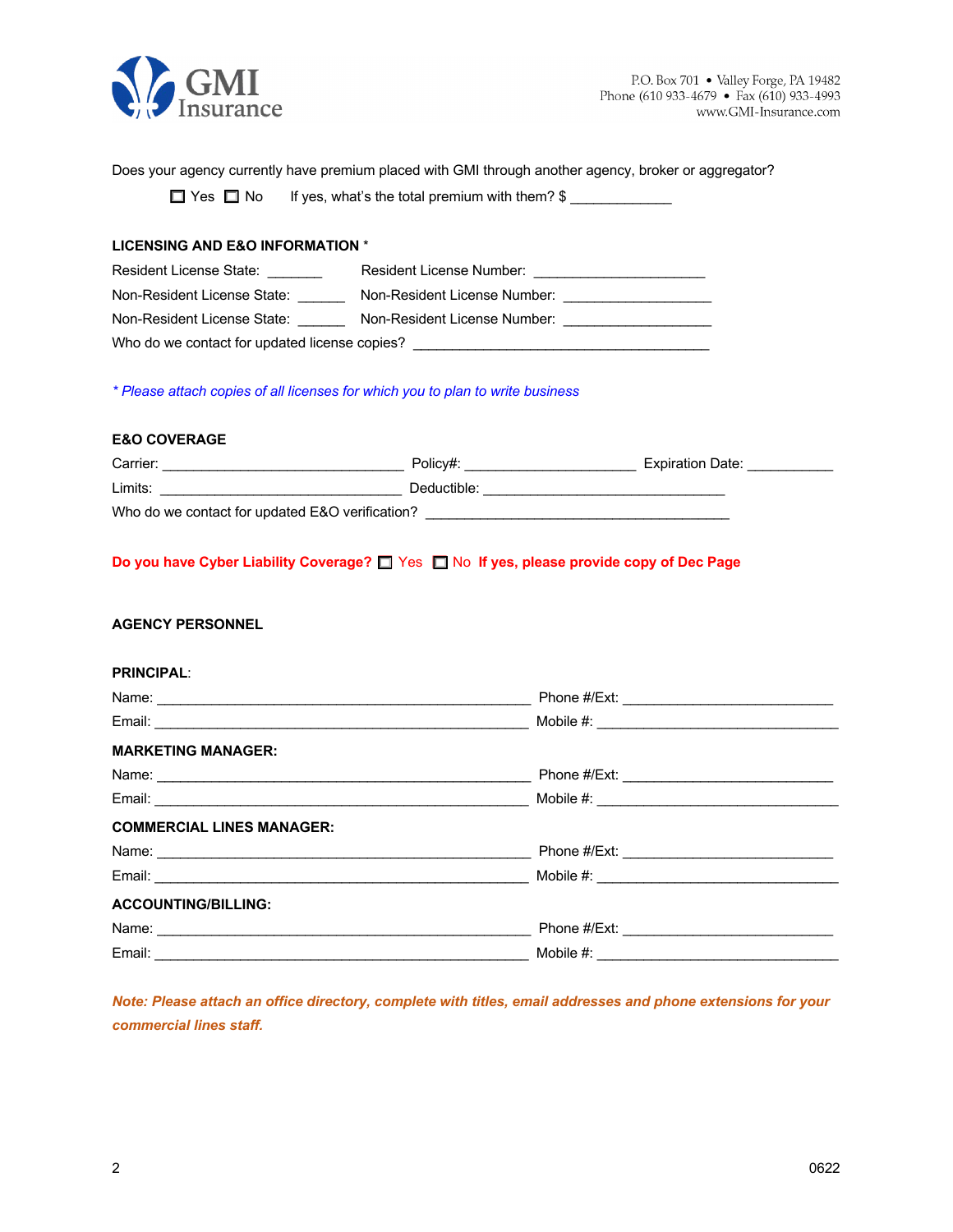

Does your agency currently have premium placed with GMI through another agency, broker or aggregator?

 $\Box$  Yes  $\Box$  No If yes, what's the total premium with them?  $\$\_\_\_\_\_\_\_\_\_\_$ 

## **LICENSING AND E&O INFORMATION** \*

| Resident License State:                       | Resident License Number:     |  |
|-----------------------------------------------|------------------------------|--|
| Non-Resident License State:                   | Non-Resident License Number: |  |
| Non-Resident License State:                   | Non-Resident License Number: |  |
| Who do we contact for updated license copies? |                              |  |

*\* Please attach copies of all licenses for which you to plan to write business*

#### **E&O COVERAGE**

| Carrier:                                        | Policv#:    | <b>Expiration Date:</b> |  |
|-------------------------------------------------|-------------|-------------------------|--|
| Limits:                                         | Deductible: |                         |  |
| Who do we contact for updated E&O verification? |             |                         |  |

## **Do you have Cyber Liability Coverage?**  $\Box$  Yes  $\Box$  No If yes, please provide copy of Dec Page

# **AGENCY PERSONNEL**

#### **PRINCIPAL**:

| <b>MARKETING MANAGER:</b>                                                                                                                                                                                                     |  |
|-------------------------------------------------------------------------------------------------------------------------------------------------------------------------------------------------------------------------------|--|
|                                                                                                                                                                                                                               |  |
|                                                                                                                                                                                                                               |  |
| <b>COMMERCIAL LINES MANAGER:</b>                                                                                                                                                                                              |  |
|                                                                                                                                                                                                                               |  |
|                                                                                                                                                                                                                               |  |
| <b>ACCOUNTING/BILLING:</b>                                                                                                                                                                                                    |  |
| Name: Name: Name: Name: Name: Name: Name: Name: Name: Name: Name: Name: Name: Name: Name: Name: Name: Name: Name: Name: Name: Name: Name: Name: Name: Name: Name: Name: Name: Name: Name: Name: Name: Name: Name: Name: Name: |  |
|                                                                                                                                                                                                                               |  |

*Note: Please attach an office directory, complete with titles, email addresses and phone extensions for your commercial lines staff.*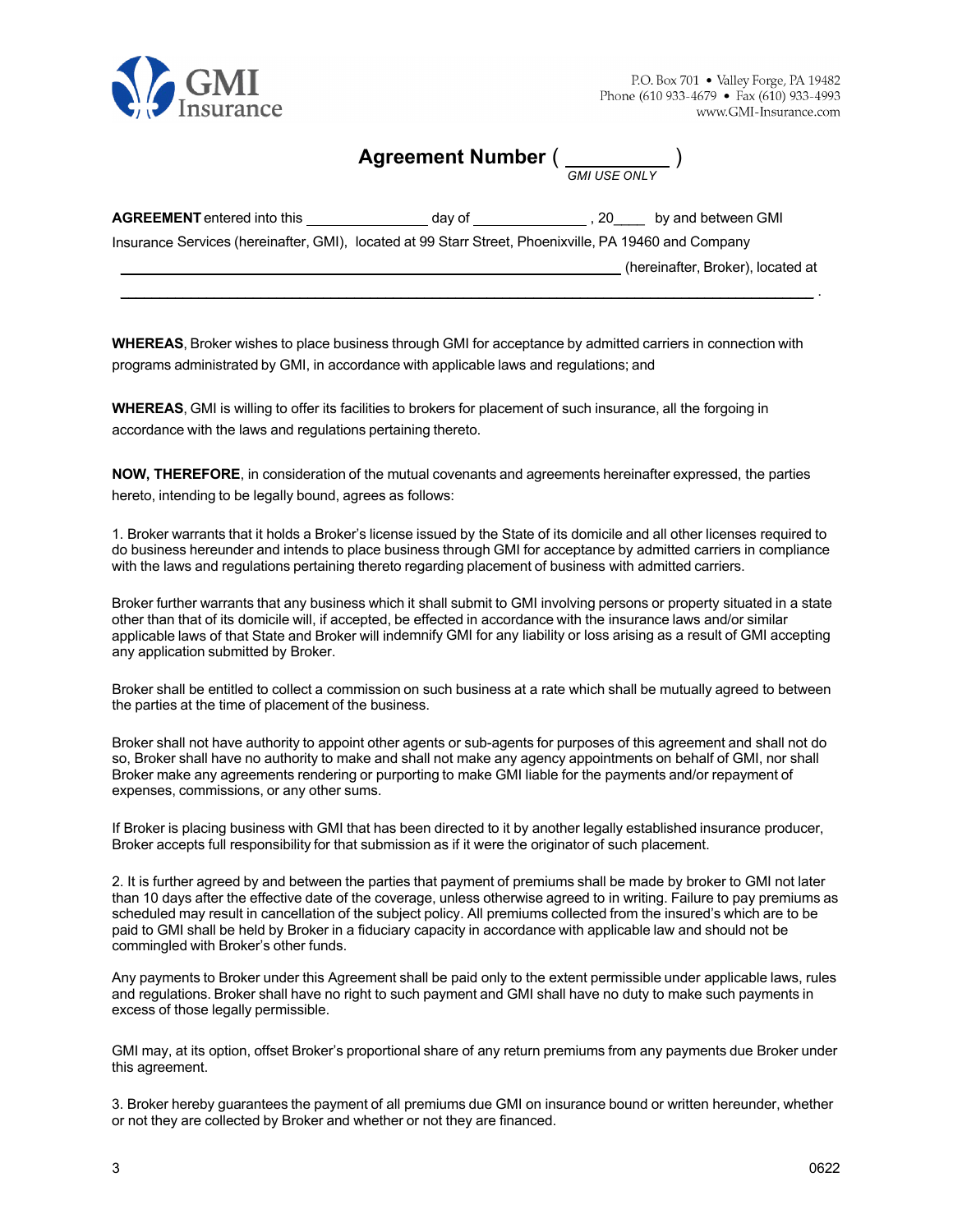

**Agreement Number** ( )

*GMI USE ONLY*

| <b>AGREEMENT</b> entered into this                                                                    | dav of | . 20 | by and between GMI                |
|-------------------------------------------------------------------------------------------------------|--------|------|-----------------------------------|
| Insurance Services (hereinafter, GMI), located at 99 Starr Street, Phoenixville, PA 19460 and Company |        |      |                                   |
|                                                                                                       |        |      | (hereinafter, Broker), located at |
|                                                                                                       |        |      |                                   |

**WHEREAS**, Broker wishes to place business through GMI for acceptance by admitted carriers in connection with programs administrated by GMI, in accordance with applicable laws and regulations; and

**WHEREAS**, GMI is willing to offer its facilities to brokers for placement of such insurance, all the forgoing in accordance with the laws and regulations pertaining thereto.

**NOW, THEREFORE**, in consideration of the mutual covenants and agreements hereinafter expressed, the parties hereto, intending to be legally bound, agrees as follows:

1. Broker warrants that it holds a Broker's license issued by the State of its domicile and all other licenses required to do business hereunder and intends to place business through GMI for acceptance by admitted carriers in compliance with the laws and regulations pertaining thereto regarding placement of business with admitted carriers.

Broker further warrants that any business which it shall submit to GMI involving persons or property situated in a state other than that of its domicile will, if accepted, be effected in accordance with the insurance laws and/or similar applicable laws of that State and Broker will indemnify GMI for any liability or loss arising as a result of GMI accepting any application submitted by Broker.

Broker shall be entitled to collect a commission on such business at a rate which shall be mutually agreed to between the parties at the time of placement of the business.

Broker shall not have authority to appoint other agents or sub-agents for purposes of this agreement and shall not do so, Broker shall have no authority to make and shall not make any agency appointments on behalf of GMI, nor shall Broker make any agreements rendering or purporting to make GMI liable for the payments and/or repayment of expenses, commissions, or any other sums.

If Broker is placing business with GMI that has been directed to it by another legally established insurance producer, Broker accepts full responsibility for that submission as if it were the originator of such placement.

2. It is further agreed by and between the parties that payment of premiums shall be made by broker to GMI not later than 10 days after the effective date of the coverage, unless otherwise agreed to in writing. Failure to pay premiums as scheduled may result in cancellation of the subject policy. All premiums collected from the insured's which are to be paid to GMI shall be held by Broker in a fiduciary capacity in accordance with applicable law and should not be commingled with Broker's other funds.

Any payments to Broker under this Agreement shall be paid only to the extent permissible under applicable laws, rules and regulations. Broker shall have no right to such payment and GMI shall have no duty to make such payments in excess of those legally permissible.

GMI may, at its option, offset Broker's proportional share of any return premiums from any payments due Broker under this agreement.

3. Broker hereby guarantees the payment of all premiums due GMI on insurance bound or written hereunder, whether or not they are collected by Broker and whether or not they are financed.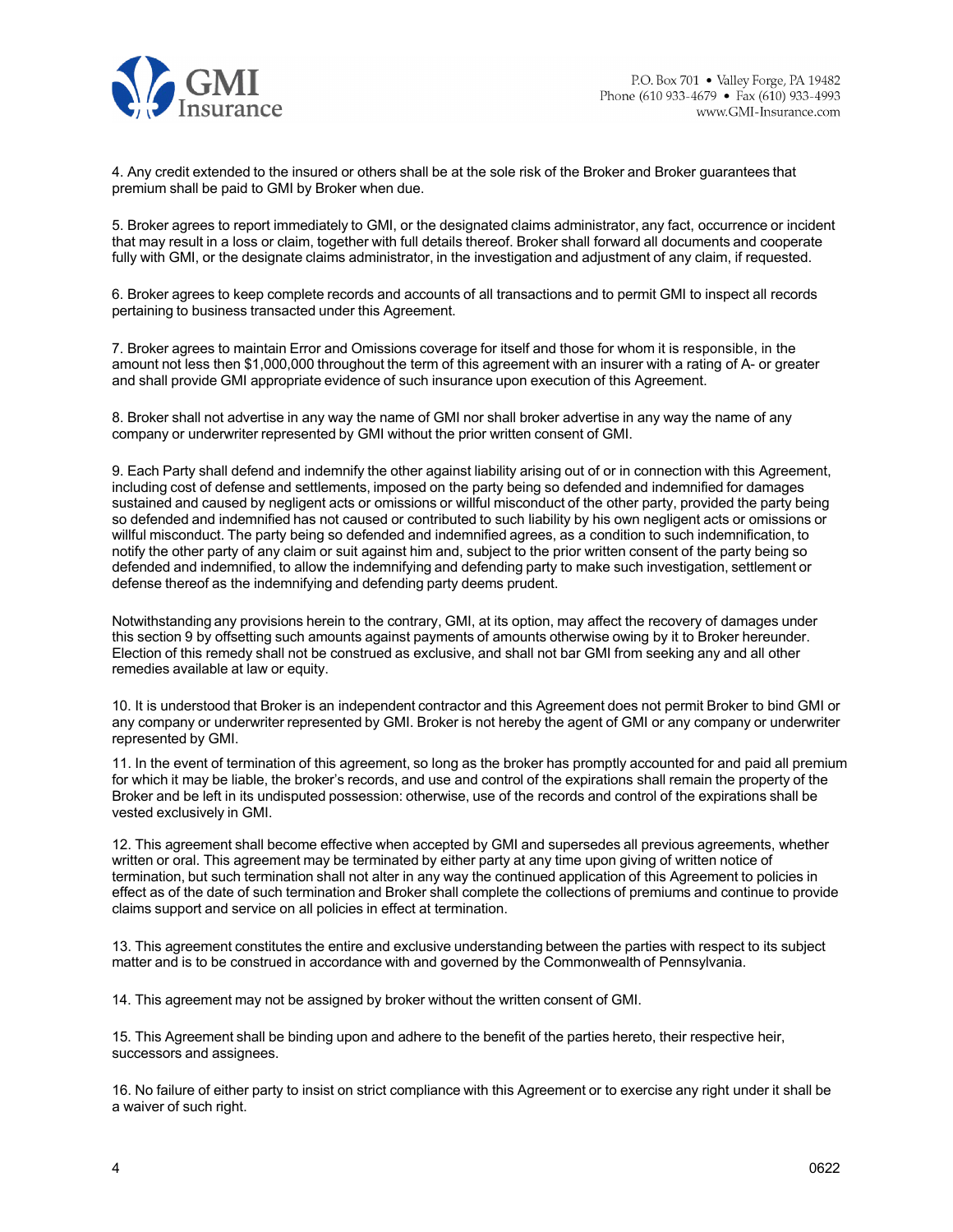

4. Any credit extended to the insured or others shall be at the sole risk of the Broker and Broker guarantees that premium shall be paid to GMI by Broker when due.

5. Broker agrees to report immediately to GMI, or the designated claims administrator, any fact, occurrence or incident that may result in a loss or claim, together with full details thereof. Broker shall forward all documents and cooperate fully with GMI, or the designate claims administrator, in the investigation and adjustment of any claim, if requested.

6. Broker agrees to keep complete records and accounts of all transactions and to permit GMI to inspect all records pertaining to business transacted under this Agreement.

7. Broker agrees to maintain Error and Omissions coverage for itself and those for whom it is responsible, in the amount not less then \$1,000,000 throughout the term of this agreement with an insurer with a rating of A- or greater and shall provide GMI appropriate evidence of such insurance upon execution of this Agreement.

8. Broker shall not advertise in any way the name of GMI nor shall broker advertise in any way the name of any company or underwriter represented by GMI without the prior written consent of GMI.

9. Each Party shall defend and indemnify the other against liability arising out of or in connection with this Agreement, including cost of defense and settlements, imposed on the party being so defended and indemnified for damages sustained and caused by negligent acts or omissions or willful misconduct of the other party, provided the party being so defended and indemnified has not caused or contributed to such liability by his own negligent acts or omissions or willful misconduct. The party being so defended and indemnified agrees, as a condition to such indemnification, to notify the other party of any claim or suit against him and, subject to the prior written consent of the party being so defended and indemnified, to allow the indemnifying and defending party to make such investigation, settlement or defense thereof as the indemnifying and defending party deems prudent.

Notwithstanding any provisions herein to the contrary, GMI, at its option, may affect the recovery of damages under this section 9 by offsetting such amounts against payments of amounts otherwise owing by it to Broker hereunder. Election of this remedy shall not be construed as exclusive, and shall not bar GMI from seeking any and all other remedies available at law or equity.

10. It is understood that Broker is an independent contractor and this Agreement does not permit Broker to bind GMI or any company or underwriter represented by GMI. Broker is not hereby the agent of GMI or any company or underwriter represented by GMI.

11. In the event of termination of this agreement, so long as the broker has promptly accounted for and paid all premium for which it may be liable, the broker's records, and use and control of the expirations shall remain the property of the Broker and be left in its undisputed possession: otherwise, use of the records and control of the expirations shall be vested exclusively in GMI.

12. This agreement shall become effective when accepted by GMI and supersedes all previous agreements, whether written or oral. This agreement may be terminated by either party at any time upon giving of written notice of termination, but such termination shall not alter in any way the continued application of this Agreement to policies in effect as of the date of such termination and Broker shall complete the collections of premiums and continue to provide claims support and service on all policies in effect at termination.

13. This agreement constitutes the entire and exclusive understanding between the parties with respect to its subject matter and is to be construed in accordance with and governed by the Commonwealth of Pennsylvania.

14. This agreement may not be assigned by broker without the written consent of GMI.

15. This Agreement shall be binding upon and adhere to the benefit of the parties hereto, their respective heir, successors and assignees.

16. No failure of either party to insist on strict compliance with this Agreement or to exercise any right under it shall be a waiver of such right.